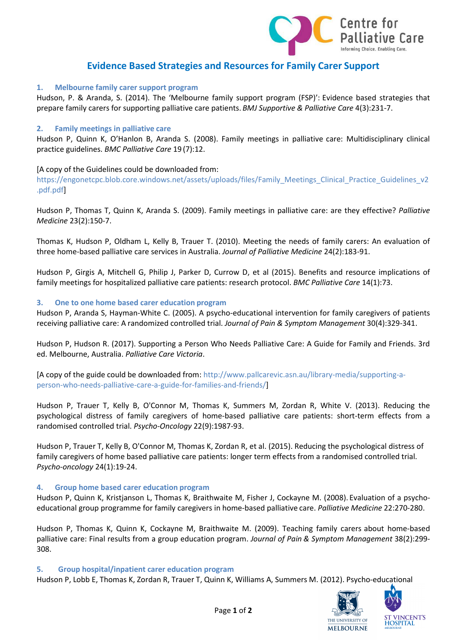

# **Evidence Based Strategies and Resources for Family Carer Support**

## **1. Melbourne family carer support program**

Hudson, P. & Aranda, S. (2014). The 'Melbourne family support program (FSP)': Evidence based strategies that prepare family carers for supporting palliative care patients. *BMJ Supportive & Palliative Care* 4(3):231-7.

## **2. Family meetings in palliative care**

Hudson P, Quinn K, O'Hanlon B, Aranda S. (2008). Family meetings in palliative care: Multidisciplinary clinical practice guidelines. *BMC Palliative Care* 19 (7):12.

## [A copy of the Guidelines could be downloaded from:

https://engonetcpc.blob.core.windows.net/assets/uploads/files/Family\_Meetings\_Clinical\_Practice\_Guidelines\_v2 .pdf.pdf]

Hudson P, Thomas T, Quinn K, Aranda S. (2009). Family meetings in palliative care: are they effective? *Palliative Medicine* 23(2):150-7.

Thomas K, Hudson P, Oldham L, Kelly B, Trauer T. (2010). Meeting the needs of family carers: An evaluation of three home-based palliative care services in Australia. *Journal of Palliative Medicine* 24(2):183-91.

Hudson P, Girgis A, Mitchell G, Philip J, Parker D, Currow D, et al (2015). Benefits and resource implications of family meetings for hospitalized palliative care patients: research protocol. *BMC Palliative Care* 14(1):73.

## **3. One to one home based carer education program**

Hudson P, Aranda S, Hayman-White C. (2005). A psycho-educational intervention for family caregivers of patients receiving palliative care: A randomized controlled trial. *Journal of Pain & Symptom Management* 30(4):329-341.

Hudson P, Hudson R. (2017). Supporting a Person Who Needs Palliative Care: A Guide for Family and Friends. 3rd ed. Melbourne, Australia. *Palliative Care Victoria*.

[A copy of the guide could be downloaded from: http://www.pallcarevic.asn.au/library-media/supporting-aperson-who-needs-palliative-care-a-guide-for-families-and-friends/]

Hudson P, Trauer T, Kelly B, O'Connor M, Thomas K, Summers M, Zordan R, White V. (2013). Reducing the psychological distress of family caregivers of home-based palliative care patients: short-term effects from a randomised controlled trial. *Psycho-Oncology* 22(9):1987-93.

Hudson P, Trauer T, Kelly B, O'Connor M, Thomas K, Zordan R, et al. (2015). Reducing the psychological distress of family caregivers of home based palliative care patients: longer term effects from a randomised controlled trial. *Psycho-oncology* 24(1):19-24.

## **4. Group home based carer education program**

Hudson P, Quinn K, Kristjanson L, Thomas K, Braithwaite M, Fisher J, Cockayne M. (2008). Evaluation of a psychoeducational group programme for family caregivers in home-based palliative care. *Palliative Medicine* 22:270-280.

Hudson P, Thomas K, Quinn K, Cockayne M, Braithwaite M. (2009). Teaching family carers about home-based palliative care: Final results from a group education program. *Journal of Pain & Symptom Management* 38(2):299- 308.

## **5. Group hospital/inpatient carer education program**

Hudson P, Lobb E, Thomas K, Zordan R, Trauer T, Quinn K, Williams A, Summers M. (2012). Psycho-educational